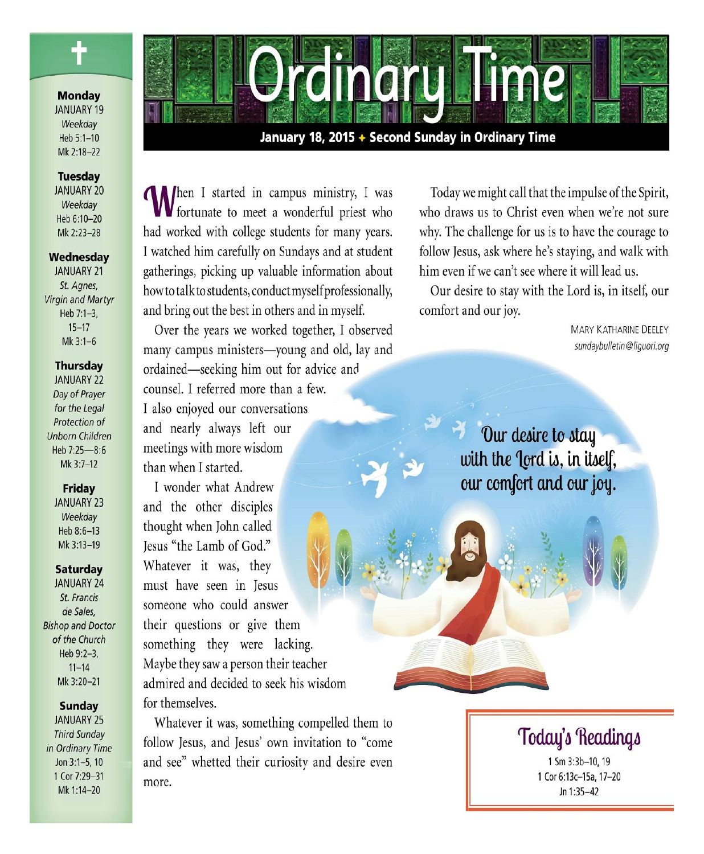

### **Monday**

**JANUARY 19** Weekdav Heb 5:1-10 Mk 2:18-22

#### **Tuesday**

**JANUARY 20** Weekdav Heb 6:10-20 Mk 2:23-28

### Wednesday

**JANUARY 21** St. Aanes. Virgin and Martyr Heb 7:1-3.  $15 - 17$ Mk 3:1-6

### **Thursday**

**JANUARY 22** Day of Prayer for the Legal Protection of **Unborn Children** Heb 7:25-8:6 Mk 3:7-12

### Friday

**JANUARY 23** Weekday Heb 8:6-13 Mk 3:13-19

### **Saturday**

**JANUARY 24** St. Francis de Sales, **Bishop and Doctor** of the Church Heb 9:2-3,  $11 - 14$ Mk 3:20-21

### **Sunday**

**JANUARY 25 Third Sunday** in Ordinary Time Jon 3:1-5, 10 1 Cor 7:29-31 Mk 1:14-20



## January 18, 2015 + Second Sunday in Ordinary Time

**Al**hen I started in campus ministry, I was **VV** fortunate to meet a wonderful priest who had worked with college students for many years. I watched him carefully on Sundays and at student gatherings, picking up valuable information about how to talk to students, conduct myself professionally, and bring out the best in others and in myself.

Over the years we worked together, I observed many campus ministers-young and old, lay and ordained—seeking him out for advice and counsel. I referred more than a few. I also enjoyed our conversations and nearly always left our meetings with more wisdom than when I started.

I wonder what Andrew and the other disciples thought when John called Jesus "the Lamb of God." Whatever it was, they must have seen in Jesus someone who could answer their questions or give them something they were lacking. Maybe they saw a person their teacher admired and decided to seek his wisdom for themselves.

Whatever it was, something compelled them to follow Jesus, and Jesus' own invitation to "come and see" whetted their curiosity and desire even more.

Today we might call that the impulse of the Spirit, who draws us to Christ even when we're not sure why. The challenge for us is to have the courage to follow Jesus, ask where he's staying, and walk with him even if we can't see where it will lead us.

Our desire to stay with the Lord is, in itself, our comfort and our joy.

> **MARY KATHARINE DEELEY** sundaybulletin@liquori.org

Our desire to stay with the Jord is, in itself, our comfort and our joy.

# Today's Readings

1 Sm 3:3b-10, 19 1 Cor 6:13c-15a, 17-20 Jn 1:35-42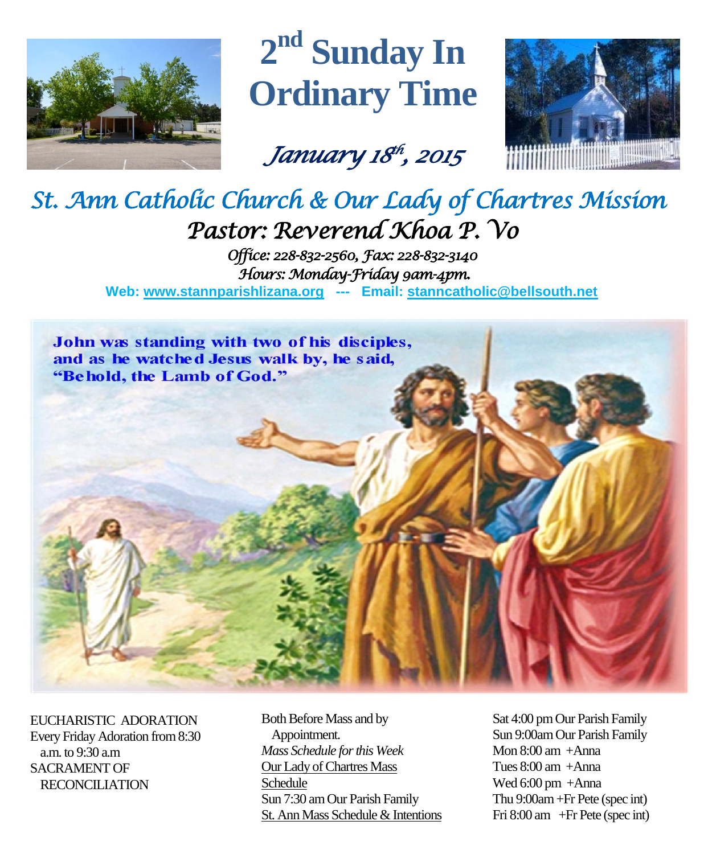

# **2 nd Sunday In Ordinary Time**

*January 18 th , 2015* 



# *St. Ann Catholic Church & Our Lady of Chartres Mission Pastor: Reverend Khoa P. Vo*

*Office: 228-832-2560, Fax: 228-832-3140 Hours: Monday-Friday 9am-4pm.*  **Web: www.stannparishlizana.org --- Email: [stanncatholic@bellsouth.net](mailto:stanncatholic@bellsouth.net)**



EUCHARISTIC ADORATION Every Friday Adoration from 8:30 a.m. to 9:30 a.m SACRAMENT OF RECONCILIATION

Both Before Mass and by Appointment. *Mass Schedule for this Week*  Our Lady of Chartres Mass Schedule Sun 7:30 am Our Parish Family St. Ann Mass Schedule & Intentions Sat 4:00 pm Our Parish Family Sun 9:00am Our Parish Family Mon  $8:00$  am  $+A$ nna Tues 8:00 am +Anna Wed 6:00 pm +Anna Thu 9:00am+Fr Pete (spec int) Fri 8:00 am +Fr Pete (spec int)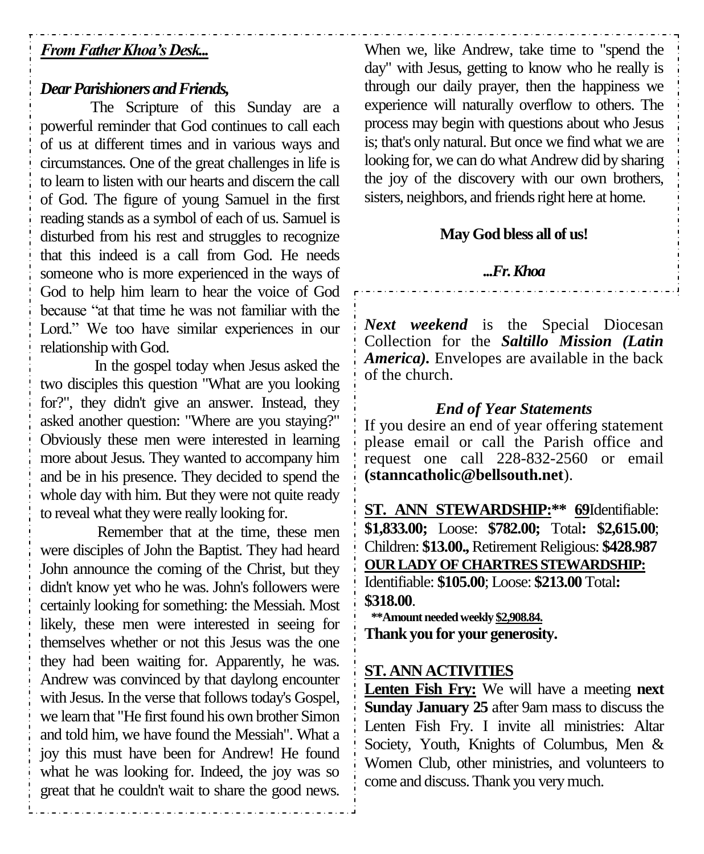# *From Father Khoa's Desk...*

## *Dear Parishioners and Friends,*

The Scripture of this Sunday are a powerful reminder that God continues to call each of us at different times and in various ways and circumstances. One of the great challenges in life is to learn to listen with our hearts and discern the call of God. The figure of young Samuel in the first reading stands as a symbol of each of us. Samuel is disturbed from his rest and struggles to recognize that this indeed is a call from God. He needs someone who is more experienced in the ways of God to help him learn to hear the voice of God because "at that time he was not familiar with the Lord." We too have similar experiences in our relationship with God.

In the gospel today when Jesus asked the two disciples this question "What are you looking for?", they didn't give an answer. Instead, they asked another question: "Where are you staying?" Obviously these men were interested in learning more about Jesus. They wanted to accompany him and be in his presence. They decided to spend the whole day with him. But they were not quite ready to reveal what they were really looking for.

Remember that at the time, these men were disciples of John the Baptist. They had heard John announce the coming of the Christ, but they didn't know yet who he was. John's followers were certainly looking for something: the Messiah. Most likely, these men were interested in seeing for themselves whether or not this Jesus was the one they had been waiting for. Apparently, he was. Andrew was convinced by that daylong encounter with Jesus. In the verse that follows today's Gospel, we learn that "He first found his own brother Simon and told him, we have found the Messiah". What a joy this must have been for Andrew! He found what he was looking for. Indeed, the joy was so great that he couldn't wait to share the good news.

When we, like Andrew, take time to "spend the day" with Jesus, getting to know who he really is through our daily prayer, then the happiness we experience will naturally overflow to others. The process may begin with questions about who Jesus is; that's only natural. But once we find what we are looking for, we can do what Andrew did by sharing the joy of the discovery with our own brothers, sisters, neighbors, and friends right here at home.

# **May God bless all of us!**

### *...Fr. Khoa*

*Next weekend* is the Special Diocesan Collection for the *Saltillo Mission (Latin America).* Envelopes are available in the back of the church.

# *End of Year Statements*

If you desire an end of year offering statement please email or call the Parish office and request one call 228-832-2560 or email **[\(stanncatholic@bellsouth.net](mailto:stanncatholic@bellsouth.net)**).

**ST. ANN STEWARDSHIP:\*\* 69**Identifiable: **\$1,833.00;** Loose: **\$782.00;** Total**: \$2,615.00**; Children: **\$13.00.,** Retirement Religious: **\$428.987 OUR LADY OF CHARTRES STEWARDSHIP:** Identifiable: **\$105.00**; Loose: **\$213.00** Total**: \$318.00**.  **\*\*Amount needed weekly \$2,908.84.**

**Thank you for your generosity.**

## **ST. ANN ACTIVITIES**

**Lenten Fish Fry:** We will have a meeting **next Sunday January 25** after 9am mass to discuss the Lenten Fish Fry. I invite all ministries: Altar Society, Youth, Knights of Columbus, Men & Women Club, other ministries, and volunteers to come and discuss. Thank you very much.